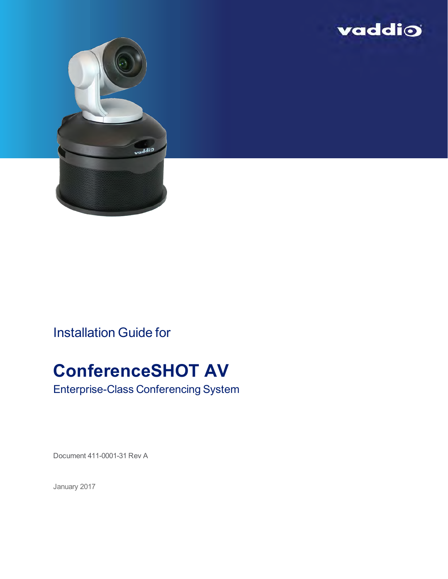



Installation Guide for

# **ConferenceSHOT AV**

Enterprise-Class Conferencing System

Document 411-0001-31 Rev A

January 2017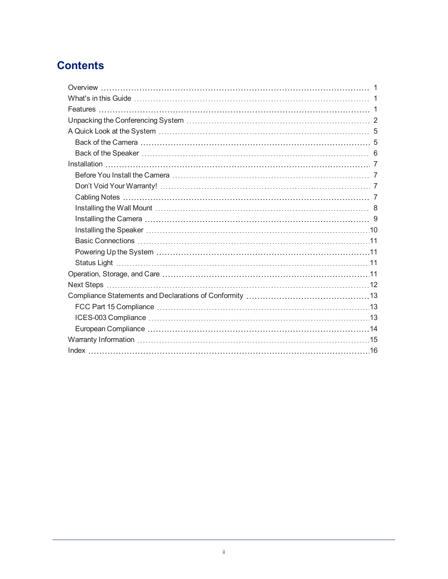## **Contents**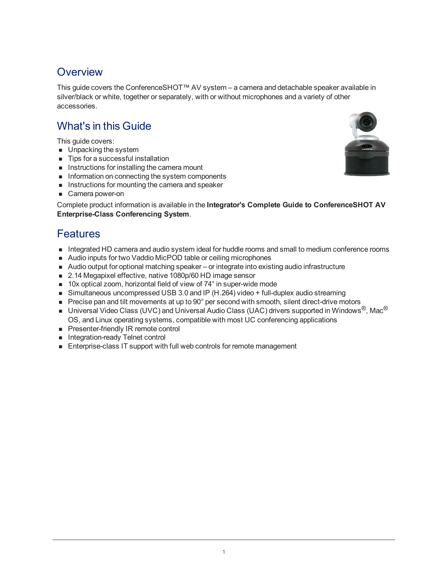## <span id="page-2-0"></span>**Overview**

This guide covers the ConferenceSHOT™ AV system – a camera and detachable speaker available in silver/black or white, together or separately, with or without microphones and a variety of other accessories.

## <span id="page-2-1"></span>What's in this Guide

This guide covers:

- **n** Unpacking the system
- Tips for a successful installation
- **n** Instructions for installing the camera mount
- n Information on connecting the system components
- **n** Instructions for mounting the camera and speaker
- **n** Camera power-on

<span id="page-2-2"></span>Complete product information is available in the **Integrator's Complete Guide to ConferenceSHOT AV Enterprise-Class Conferencing System**.

### Features

- n Integrated HD camera and audio system ideal for huddle rooms and small to medium conference rooms
- Audio inputs for two Vaddio MicPOD table or ceiling microphones
- Audio output for optional matching speaker or integrate into existing audio infrastructure
- 2.14 Megapixel effective, native 1080p/60 HD image sensor
- $\blacksquare$  10x optical zoom, horizontal field of view of 74 $^{\circ}$  in super-wide mode
- $\blacksquare$  Simultaneous uncompressed USB 3.0 and IP (H.264) video + full-duplex audio streaming
- Precise pan and tilt movements at up to 90° per second with smooth, silent direct-drive motors
- **n** Universal Video Class (UVC) and Universal Audio Class (UAC) drivers supported in Windows®, Mac® OS, and Linux operating systems, compatible with most UC conferencing applications
- **n** Presenter-friendly IR remote control
- **n** Integration-ready Telnet control
- Enterprise-class IT support with full web controls for remote management

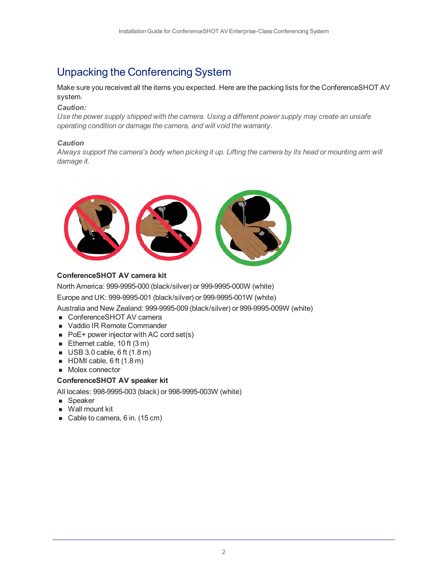## <span id="page-3-0"></span>Unpacking the Conferencing System

Make sure you received all the items you expected. Here are the packing lists for the ConferenceSHOT AV system.

#### *Caution:*

*Use the power supply shipped with the camera. Using a different power supply may create an unsafe operating condition or damage the camera, and will void the warranty.*

#### *Caution*

*Always support the camera's body when picking it up. Lifting the camera by its head or mounting arm will damage it.*



#### **ConferenceSHOT AV camera kit**

North America: 999-9995-000 (black/silver) or 999-9995-000W (white)

Europe and UK: 999-9995-001 (black/silver) or 999-9995-001W (white)

Australia and New Zealand: 999-9995-009 (black/silver) or 999-9995-009W (white)

- ConferenceSHOT AV camera
- Vaddio IR Remote Commander
- $\blacksquare$  PoE + power injector with AC cord set(s)
- Ethernet cable, 10 ft  $(3 m)$
- $\blacksquare$  USB 3.0 cable, 6 ft (1.8 m)
- $HDMI$  cable, 6 ft (1.8 m)
- Molex connector

#### **ConferenceSHOT AV speaker kit**

All locales: 998-9995-003 (black) or 998-9995-003W (white)

- **n** Speaker
- **N** Wall mount kit
- Cable to camera, 6 in. (15 cm)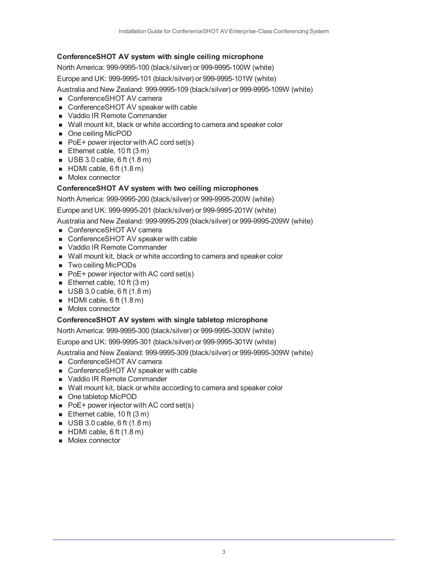#### **ConferenceSHOT AV system with single ceiling microphone**

North America: 999-9995-100 (black/silver) or 999-9995-100W (white)

Europe and UK: 999-9995-101 (black/silver) or 999-9995-101W (white)

Australia and New Zealand: 999-9995-109 (black/silver) or 999-9995-109W (white)

- ConferenceSHOT AV camera
- ConferenceSHOT AV speaker with cable
- Vaddio IR Remote Commander
- $\blacksquare$  Wall mount kit, black or white according to camera and speaker color
- One ceiling MicPOD
- $\blacksquare$  PoE + power injector with AC cord set(s)
- Ethernet cable,  $10$  ft  $(3 m)$
- $\blacksquare$  USB 3.0 cable, 6 ft (1.8 m)
- $HDMI$  cable, 6 ft (1.8 m)
- Molex connector

#### **ConferenceSHOT AV system with two ceiling microphones**

North America: 999-9995-200 (black/silver) or 999-9995-200W (white)

Europe and UK: 999-9995-201 (black/silver) or 999-9995-201W (white)

Australia and New Zealand: 999-9995-209 (black/silver) or 999-9995-209W (white)

- ConferenceSHOT AV camera
- ConferenceSHOT AV speaker with cable
- Vaddio IR Remote Commander
- Wall mount kit, black or white according to camera and speaker color
- Two ceiling MicPODs
- $\blacksquare$  PoE+ power injector with AC cord set(s)
- Ethernet cable,  $10$  ft  $(3 m)$
- $\blacksquare$  USB 3.0 cable, 6 ft (1.8 m)
- $HDMI$  cable, 6 ft (1.8 m)
- Molex connector

#### **ConferenceSHOT AV system with single tabletop microphone**

North America: 999-9995-300 (black/silver) or 999-9995-300W (white)

Europe and UK: 999-9995-301 (black/silver) or 999-9995-301W (white)

Australia and New Zealand: 999-9995-309 (black/silver) or 999-9995-309W (white)

- ConferenceSHOT AV camera
- ConferenceSHOT AV speaker with cable
- Vaddio IR Remote Commander
- Wall mount kit, black or white according to camera and speaker color
- <sup>n</sup> One tabletop MicPOD
- $\blacksquare$  PoE + power injector with AC cord set(s)
- Ethernet cable, 10 ft  $(3 m)$
- $\blacksquare$  USB 3.0 cable, 6 ft (1.8 m)
- $HDMI$  cable, 6 ft (1.8 m)
- **n** Molex connector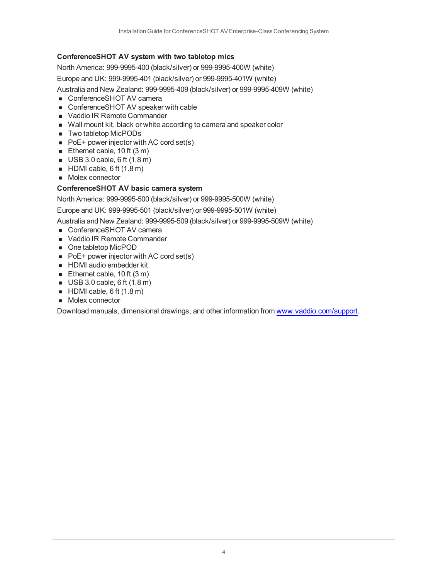#### **ConferenceSHOT AV system with two tabletop mics**

North America: 999-9995-400 (black/silver) or 999-9995-400W (white)

Europe and UK: 999-9995-401 (black/silver) or 999-9995-401W (white)

Australia and New Zealand: 999-9995-409 (black/silver) or 999-9995-409W (white)

- ConferenceSHOT AV camera
- ConferenceSHOT AV speaker with cable
- Vaddio IR Remote Commander
- Wall mount kit, black or white according to camera and speaker color
- Two tabletop MicPODs
- $\blacksquare$  PoE + power injector with AC cord set(s)
- Ethernet cable,  $10$  ft  $(3 m)$
- $\blacksquare$  USB 3.0 cable, 6 ft (1.8 m)
- $HDMI$  cable, 6 ft (1.8 m)
- Molex connector

#### **ConferenceSHOT AV basic camera system**

North America: 999-9995-500 (black/silver) or 999-9995-500W (white)

Europe and UK: 999-9995-501 (black/silver) or 999-9995-501W (white)

Australia and New Zealand: 999-9995-509 (black/silver) or 999-9995-509W (white)

- ConferenceSHOT AV camera
- vaddio IR Remote Commander
- <sup>n</sup> One tabletop MicPOD
- $\blacksquare$  PoE + power injector with AC cord set(s)
- **HDMI** audio embedder kit
- Ethernet cable,  $10$  ft  $(3 m)$
- $\blacksquare$  USB 3.0 cable, 6 ft (1.8 m)
- $HDMI$  cable, 6 ft (1.8 m)
- Molex connector

Download manuals, dimensional drawings, and other information from [www.vaddio.com/support](http://www.vaddio.com/support).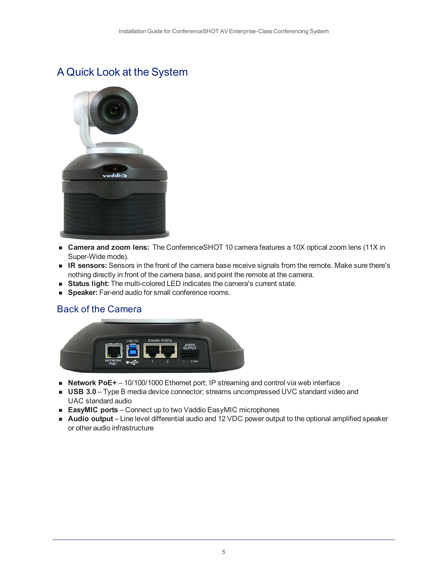## <span id="page-6-0"></span>A Quick Look at the System



- **Camera and zoom lens:** The ConferenceSHOT 10 camera features a 10X optical zoom lens (11X in Super-Wide mode).
- **R** sensors: Sensors in the front of the camera base receive signals from the remote. Make sure there's nothing directly in front of the camera base, and point the remote at the camera.
- **status light:** The multi-colored LED indicates the camera's current state.
- <span id="page-6-1"></span>**speaker:** Far-end audio for small conference rooms.

### Back of the Camera



- Network PoE+ 10/100/1000 Ethernet port; IP streaming and control via web interface
- **USB 3.0** Type B media device connector; streams uncompressed UVC standard video and UAC standard audio
- **EasyMIC ports** Connect up to two Vaddio EasyMIC microphones
- <sup>n</sup> **Audio output** Line level differential audio and 12 VDC power output to the optional amplified speaker or other audio infrastructure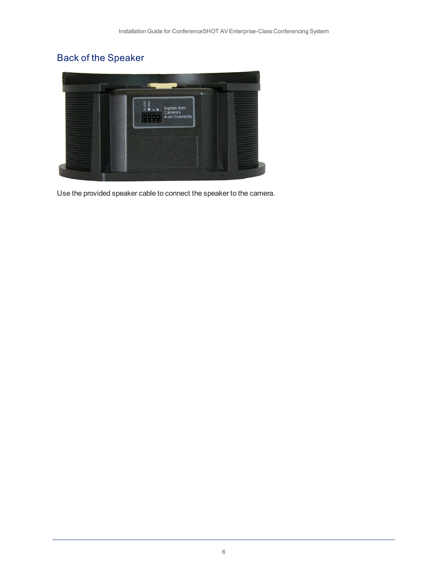## <span id="page-7-0"></span>Back of the Speaker



Use the provided speaker cable to connect the speaker to the camera.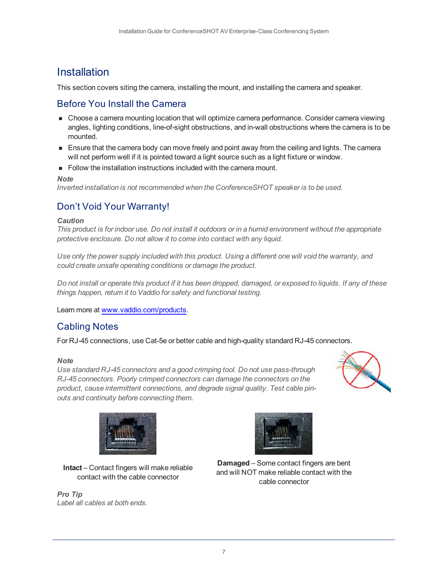### <span id="page-8-0"></span>**Installation**

<span id="page-8-1"></span>This section covers siting the camera, installing the mount, and installing the camera and speaker.

### Before You Install the Camera

- **n** Choose a camera mounting location that will optimize camera performance. Consider camera viewing angles, lighting conditions, line-of-sight obstructions, and in-wall obstructions where the camera is to be mounted.
- **Ensure that the camera body can move freely and point away from the ceiling and lights. The camera** will not perform well if it is pointed toward a light source such as a light fixture or window.
- $\blacksquare$  Follow the installation instructions included with the camera mount.

*Note*

<span id="page-8-2"></span>*Inverted installation is not recommended when the ConferenceSHOT speaker is to be used.*

### Don't Void Your Warranty!

#### *Caution*

*This product is for indoor use. Do not install it outdoors or in a humid environment without the appropriate protective enclosure. Do not allow it to come into contact with any liquid.*

*Use only the power supply included with this product. Using a different one will void the warranty, and could create unsafe operating conditions or damage the product.*

*Do not install or operate this product if it has been dropped, damaged, or exposed to liquids. If any of these things happen, return it to Vaddio for safety and functional testing.*

<span id="page-8-3"></span>Learn more at [www.vaddio.com/products](http://www.vaddio.com/products).

### Cabling Notes

For RJ-45 connections, use Cat-5e or better cable and high-quality standard RJ-45 connectors.

#### *Note*

*Use standard RJ-45 connectors and a good crimping tool. Do not use pass-through RJ-45 connectors. Poorly crimped connectors can damage the connectors on the product, cause intermittent connections, and degrade signal quality. Test cable pinouts and continuity before connecting them.*







**Intact** – Contact fingers will make reliable contact with the cable connector

**Damaged** – Some contact fingers are bent and will NOT make reliable contact with the cable connector

*Pro Tip Label all cables at both ends.*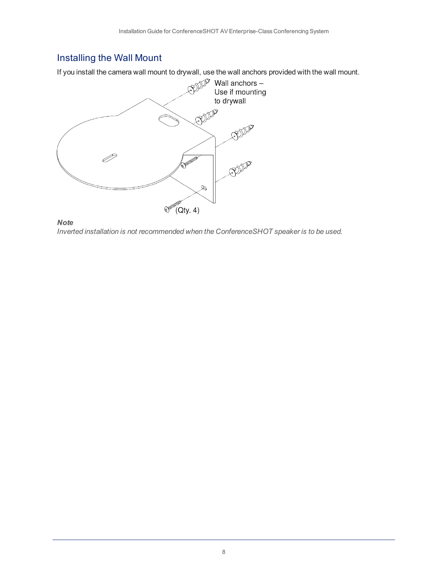## <span id="page-9-0"></span>Installing the Wall Mount

If you install the camera wall mount to drywall, use the wall anchors provided with the wall mount.



*Note*

*Inverted installation is not recommended when the ConferenceSHOT speaker is to be used.*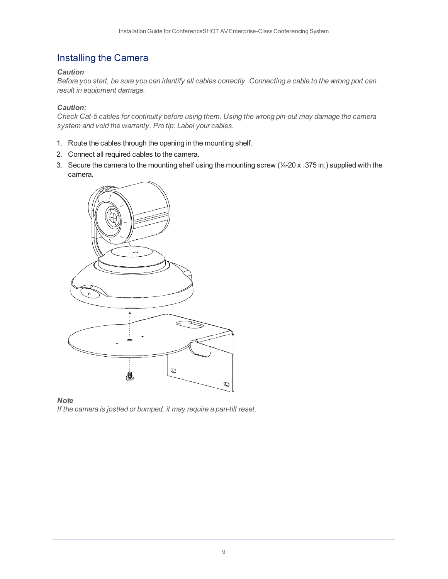### <span id="page-10-0"></span>Installing the Camera

#### *Caution*

*Before you start, be sure you can identify all cables correctly. Connecting a cable to the wrong port can result in equipment damage.*

#### *Caution:*

*Check Cat-5 cables for continuity before using them. Using the wrong pin-out may damage the camera system and void the warranty. Pro tip: Label your cables.*

- 1. Route the cables through the opening in the mounting shelf.
- 2. Connect all required cables to the camera.
- 3. Secure the camera to the mounting shelf using the mounting screw (¼-20 x .375 in.) supplied with the camera.



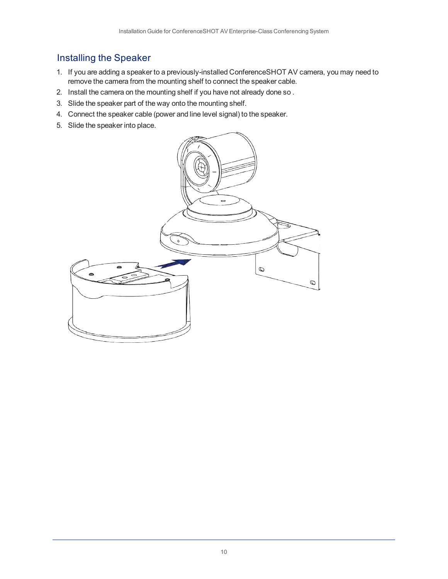### <span id="page-11-0"></span>Installing the Speaker

- 1. If you are adding a speaker to a previously-installed ConferenceSHOT AV camera, you may need to remove the camera from the mounting shelf to connect the speaker cable.
- 2. Install the camera on the mounting shelf if you have not already done so .
- 3. Slide the speaker part of the way onto the mounting shelf.
- 4. Connect the speaker cable (power and line level signal) to the speaker.
- 5. Slide the speaker into place.

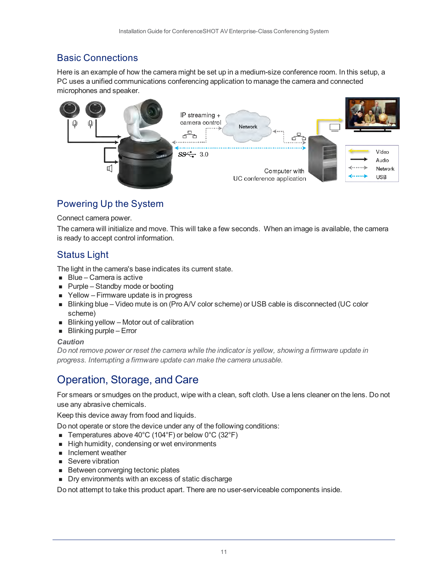### <span id="page-12-0"></span>Basic Connections

Here is an example of how the camera might be set up in a medium-size conference room. In this setup, a PC uses a unified communications conferencing application to manage the camera and connected microphones and speaker.



### <span id="page-12-1"></span>Powering Up the System

#### Connect camera power.

The camera will initialize and move. This will take a few seconds. When an image is available, the camera is ready to accept control information.

### <span id="page-12-2"></span>Status Light

The light in the camera's base indicates its current state.

- $Blue Camera$  is active
- $\blacksquare$  Purple Standby mode or booting
- $\blacksquare$  Yellow Firmware update is in progress
- Blinking blue Video mute is on (Pro A/V color scheme) or USB cable is disconnected (UC color scheme)
- Blinking yellow Motor out of calibration
- $\blacksquare$  Blinking purple Error

#### *Caution*

*Do not remove power or reset the camera while the indicator is yellow, showing a firmware update in progress. Interrupting a firmware update can make the camera unusable.*

## <span id="page-12-3"></span>Operation, Storage, and Care

For smears or smudges on the product, wipe with a clean, soft cloth. Use a lens cleaner on the lens. Do not use any abrasive chemicals.

Keep this device away from food and liquids.

Do not operate or store the device under any of the following conditions:

- **Temperatures above 40°C (104°F) or below 0°C (32°F)**
- High humidity, condensing or wet environments
- **n** Inclement weather
- Severe vibration
- **Between converging tectonic plates**
- **n** Dry environments with an excess of static discharge

Do not attempt to take this product apart. There are no user-serviceable components inside.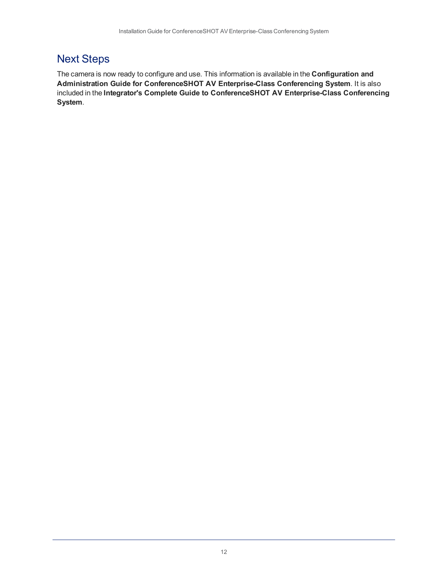## <span id="page-13-0"></span>Next Steps

The camera is now ready to configure and use. This information is available in the **Configuration and Administration Guide for ConferenceSHOT AV Enterprise-Class Conferencing System**. It is also included in the **Integrator's Complete Guide to ConferenceSHOT AV Enterprise-Class Conferencing System**.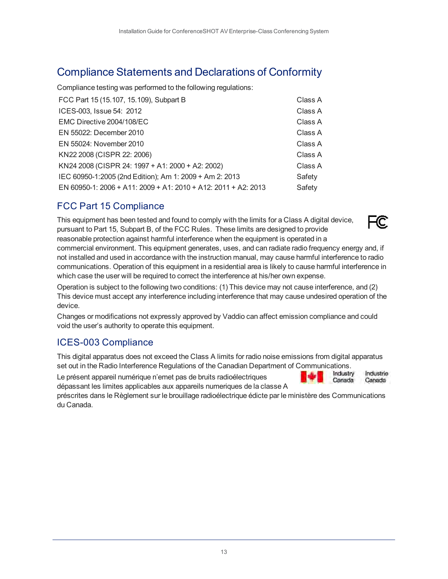## <span id="page-14-0"></span>Compliance Statements and Declarations of Conformity

Compliance testing was performed to the following regulations:

| FCC Part 15 (15.107, 15.109), Subpart B                        | Class A |
|----------------------------------------------------------------|---------|
| ICES-003, Issue 54: 2012                                       | Class A |
| EMC Directive 2004/108/EC                                      | Class A |
| EN 55022: December 2010                                        | Class A |
| EN 55024: November 2010                                        | Class A |
| KN22 2008 (CISPR 22: 2006)                                     | Class A |
| KN24 2008 (CISPR 24: 1997 + A1: 2000 + A2: 2002)               | Class A |
| IEC 60950-1:2005 (2nd Edition); Am 1: 2009 + Am 2: 2013        | Safety  |
| EN 60950-1: 2006 + A11: 2009 + A1: 2010 + A12: 2011 + A2: 2013 | Safety  |

### <span id="page-14-1"></span>FCC Part 15 Compliance

This equipment has been tested and found to comply with the limits for a Class A digital device, pursuant to Part 15, Subpart B, of the FCC Rules. These limits are designed to provide reasonable protection against harmful interference when the equipment is operated in a



Industrie

Canada

Canada

commercial environment. This equipment generates, uses, and can radiate radio frequency energy and, if not installed and used in accordance with the instruction manual, may cause harmful interference to radio communications. Operation of this equipment in a residential area is likely to cause harmful interference in which case the user will be required to correct the interference at his/her own expense.

Operation is subject to the following two conditions: (1) This device may not cause interference, and (2) This device must accept any interference including interference that may cause undesired operation of the device.

Changes or modifications not expressly approved by Vaddio can affect emission compliance and could void the user's authority to operate this equipment.

### <span id="page-14-2"></span>ICES-003 Compliance

This digital apparatus does not exceed the Class A limits for radio noise emissions from digital apparatus set out in the Radio Interference Regulations of the Canadian Department of Communications.<br>Le précent encereil numérieure plemet nec de bruite redicélectriques

Le présent appareil numérique n'emet pas de bruits radioélectriques dépassant les limites applicables aux appareils numeriques de la classe A

préscrites dans le Règlement sur le brouillage radioélectrique édicte par le ministère des Communications du Canada.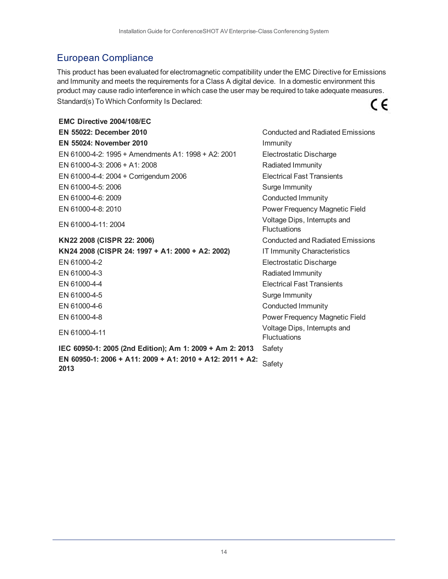### <span id="page-15-0"></span>European Compliance

This product has been evaluated for electromagnetic compatibility under the EMC Directive for Emissions and Immunity and meets the requirements for a Class A digital device. In a domestic environment this product may cause radio interference in which case the user may be required to take adequate measures. Standard(s) To Which Conformity Is Declared: CE

**EMC Directive 2004/108/EC EN 55022: December 2010** Conducted and Radiated Emissions **EN 55024: November 2010 Immunity** EN 61000-4-2: 1995 + Amendments A1: 1998 + A2: 2001 Electrostatic Discharge EN 61000-4-3: 2006 + A1: 2008 Radiated Immunity EN 61000-4-4: 2004 + Corrigendum 2006 Electrical Fast Transients EN 61000-4-5: 2006 **Surge Immunity** EN 61000-4-6: 2009 Conducted Immunity EN 61000-4-8: 2010 **Power Frequency Magnetic Field** 

**KN22 2008 (CISPR 22: 2006)** Conducted and Radiated Emissions **KN24 2008 (CISPR 24: 1997 + A1: 2000 + A2: 2002)** IT Immunity Characteristics EN 61000-4-2 Electrostatic Discharge EN 61000-4-3 Radiated Immunity EN 61000-4-4 Electrical Fast Transients EN 61000-4-5 Surge Immunity EN 61000-4-6 Conducted Immunity EN 61000-4-8 Power Frequency Magnetic Field

**IEC 60950-1: 2005 (2nd Edition); Am 1: 2009 + Am 2: 2013** Safety **EN 60950-1: 2006 + A11: 2009 + A1: 2010 + A12: 2011 + A2:** 2013 **CONTRACT SAFETY AND SAFETY AND SAFETY** 

EN 61000-4-11: 2004 Voltage Dips, Interrupts and **Fluctuations** EN 61000-4-11 Voltage Dips, Interrupts and **Fluctuations** 

14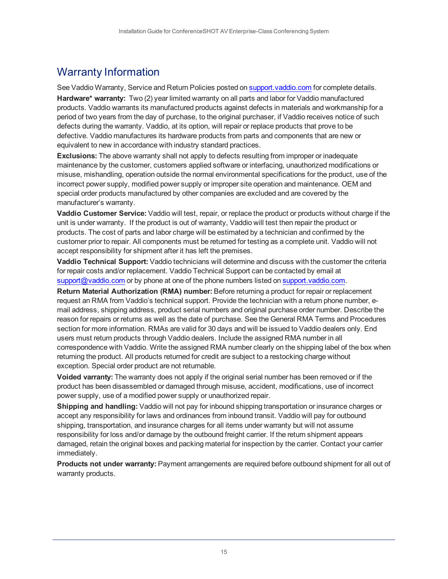## <span id="page-16-0"></span>Warranty Information

See Vaddio Warranty, Service and Return Policies posted on support. vaddio.com for complete details.

**Hardware\* warranty:** Two (2) year limited warranty on all parts and labor for Vaddio manufactured products. Vaddio warrants its manufactured products against defects in materials and workmanship for a period of two years from the day of purchase, to the original purchaser, if Vaddio receives notice of such defects during the warranty. Vaddio, at its option, will repair or replace products that prove to be defective. Vaddio manufactures its hardware products from parts and components that are new or equivalent to new in accordance with industry standard practices.

**Exclusions:** The above warranty shall not apply to defects resulting from improper or inadequate maintenance by the customer, customers applied software or interfacing, unauthorized modifications or misuse, mishandling, operation outside the normal environmental specifications for the product, use of the incorrect power supply, modified power supply or improper site operation and maintenance. OEM and special order products manufactured by other companies are excluded and are covered by the manufacturer's warranty.

**Vaddio Customer Service:** Vaddio will test, repair, or replace the product or products without charge if the unit is under warranty. If the product is out of warranty, Vaddio will test then repair the product or products. The cost of parts and labor charge will be estimated by a technician and confirmed by the customer prior to repair. All components must be returned for testing as a complete unit. Vaddio will not accept responsibility for shipment after it has left the premises.

**Vaddio Technical Support:** Vaddio technicians will determine and discuss with the customer the criteria for repair costs and/or replacement. Vaddio Technical Support can be contacted by email at [support@vaddio.com](mailto:support@vaddio.com) or by phone at one of the phone numbers listed on [support.vaddio.com.](http://support.vaddio.com/)

**Return Material Authorization (RMA) number:** Before returning a product for repair or replacement request an RMA from Vaddio's technical support. Provide the technician with a return phone number, email address, shipping address, product serial numbers and original purchase order number. Describe the reason for repairs or returns as well as the date of purchase. See the General RMA Terms and Procedures section for more information. RMAs are valid for 30 days and will be issued to Vaddio dealers only. End users must return products through Vaddio dealers. Include the assigned RMA number in all correspondence with Vaddio. Write the assigned RMA number clearly on the shipping label of the box when returning the product. All products returned for credit are subject to a restocking charge without exception. Special order product are not returnable.

**Voided varranty:** The warranty does not apply if the original serial number has been removed or if the product has been disassembled or damaged through misuse, accident, modifications, use of incorrect power supply, use of a modified power supply or unauthorized repair.

**Shipping and handling:** Vaddio will not pay for inbound shipping transportation or insurance charges or accept any responsibility for laws and ordinances from inbound transit. Vaddio will pay for outbound shipping, transportation, and insurance charges for all items under warranty but will not assume responsibility for loss and/or damage by the outbound freight carrier. If the return shipment appears damaged, retain the original boxes and packing material for inspection by the carrier. Contact your carrier immediately.

**Products not under warranty:** Payment arrangements are required before outbound shipment for all out of warranty products.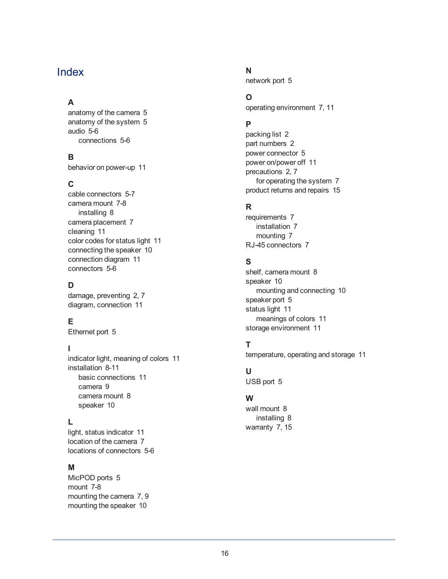### <span id="page-17-0"></span>Index

### **A**

anatomy of the camera [5](#page-6-1) anatomy of the system [5](#page-6-0) audio [5-6](#page-6-1) connections [5-6](#page-6-1)

### **B**

behavior on power-up [11](#page-12-1)

### **C**

cable connectors [5-7](#page-6-1) camera mount [7-8](#page-8-1) installing [8](#page-9-0) camera placement [7](#page-8-1) cleaning [11](#page-12-3) color codes for status light [11](#page-12-2) connecting the speaker [10](#page-11-0) connection diagram [11](#page-12-0) connectors [5-6](#page-6-1)

### **D**

damage, preventing [2,](#page-3-0) [7](#page-8-2) diagram, connection [11](#page-12-0)

### **E**

Ethernet port [5](#page-6-1)

### **I**

indicator light, meaning of colors [11](#page-12-2) installation [8-11](#page-9-0) basic connections [11](#page-12-0) camera [9](#page-10-0) camera mount [8](#page-9-0) speaker [10](#page-11-0)

### **L**

light, status indicator [11](#page-12-2) location of the camera [7](#page-8-1) locations of connectors [5-6](#page-6-1)

### **M**

MicPOD ports [5](#page-6-1) mount [7-8](#page-8-1) mounting the camera [7,](#page-8-1) [9](#page-10-0) mounting the speaker [10](#page-11-0)

### **N**

network port [5](#page-6-1)

### **O**

operating environment [7,](#page-8-2) [11](#page-12-3)

### **P**

packing list [2](#page-3-0) part numbers [2](#page-3-0) power connector [5](#page-6-1) power on/power off [11](#page-12-1) precautions [2](#page-3-0), [7](#page-8-2) for operating the system [7](#page-8-2) product returns and repairs [15](#page-16-0)

### **R**

requirements [7](#page-8-1) installation [7](#page-8-1) mounting [7](#page-8-1) RJ-45 connectors [7](#page-8-3)

### **S**

shelf, camera mount [8](#page-9-0) speaker [10](#page-11-0) mounting and connecting [10](#page-11-0) speaker port [5](#page-6-1) status light [11](#page-12-2) meanings of colors [11](#page-12-2) storage environment [11](#page-12-3)

### **T**

temperature, operating and storage [11](#page-12-3)

### **U**

USB port [5](#page-6-1)

### **W**

wall mount [8](#page-9-0) installing [8](#page-9-0) warranty [7](#page-8-2), [15](#page-16-0)